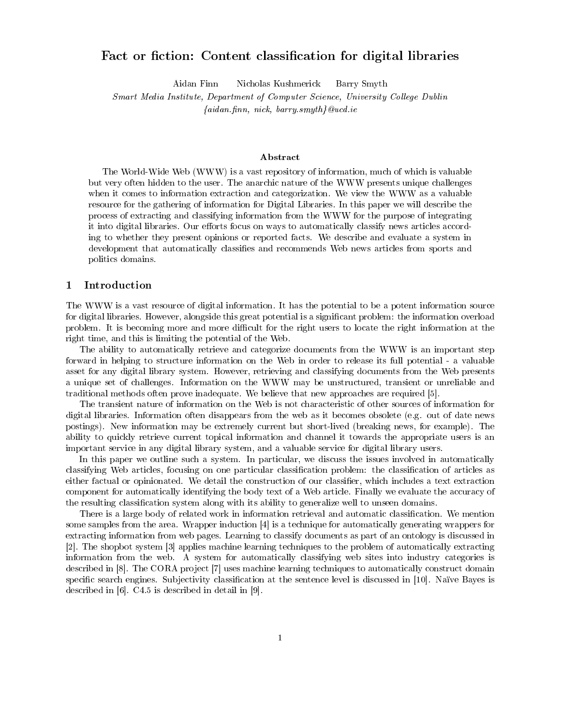# Fact or ction: Content classication for digital libraries

Aidan Finn Nicholas Kushmerick Barry Smyth

Smart Media Institute, Department of Computer Science, University College Dublin  ${adian finn, nick, barry smyth}$  Qued.ie

### Abstract

The World-Wide Web (WWW) is a vast repository of information, much of which is valuable but very often hidden to the user. The anarchic nature of the WWW presents unique challenges when it comes to information extraction and categorization. We view the WWW as a valuable resource for the gathering of information for Digital Libraries. In this paper we will describe the process of extracting and classifying information from the WWW for the purpose of integrating it into digital libraries. Our efforts focus on ways to automatically classify news articles according to whether they present opinions or reported facts. We describe and evaluate a system in development that automatically classifies and recommends Web news articles from sports and politics domains.

### <sup>1</sup> Introduction

The WWW is a vast resource of digital information. It has the potential to be a potent information source for digital libraries. However, alongside this great potential is a significant problem: the information overload problem. It is becoming more and more difficult for the right users to locate the right information at the right time, and this is limiting the potential of the Web.

The ability to automatically retrieve and categorize documents from the WWW is an important step forward in helping to structure information on the Web in order to release its full potential - a valuable asset for any digital library system. However, retrieving and classifying documents from the Web presents a unique set of challenges. Information on the WWW may be unstructured, transient or unreliable and traditional methods often prove inadequate. We believe that new approaches are required [5].

The transient nature of information on the Web is not characteristic of other sources of information for digital libraries. Information often disappears from the web as it becomes obsolete (e.g. out of date news postings). New information may be extremely current but short-lived (breaking news, for example). The ability to quickly retrieve current topical information and channel it towards the appropriate users is an important service in any digital library system, and a valuable service for digital library users.

In this paper we outline such a system. In particular, we discuss the issues involved in automatically classifying Web articles, focusing on one particular classification problem: the classification of articles as either factual or opinionated. We detail the construction of our classifier, which includes a text extraction component for automatically identifying the body text of a Web article. Finally we evaluate the accuracy of the resulting classification system along with its ability to generalize well to unseen domains.

There is a large body of related work in information retrieval and automatic classification. We mention some samples from the area. Wrapper induction [4] is a technique for automatically generating wrappers for extracting information from web pages. Learning to classify documents as part of an ontology is discussed in [2]. The shopbot system [3] applies machine learning techniques to the problem of automatically extracting information from the web. A system for automatically classifying web sites into industry categories is described in [8]. The CORA project [7] uses machine learning techniques to automatically construct domain specific search engines. Subjectivity classification at the sentence level is discussed in [10]. Naïve Bayes is described in [6]. C4.5 is described in detail in [9].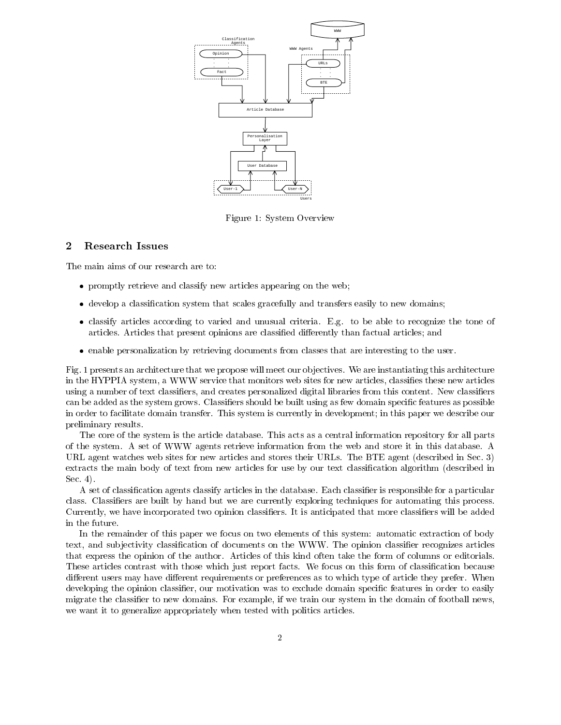

Figure 1: System Overview

#### $\overline{2}$ Research Issues

The main aims of our research are to:

- promptly retrieved and classify new articles appearing on the web; we have  $\mathcal{P}$
- develop a classication system that scales gracefully and transfers easily to new domains;
- classify articles according to varied and unusual criteria. E.g. to be able to recognize the tone of articles. Articles that present opinions are classified differently than factual articles; and
- enable personalization by retrieving documents from classes that are interesting to the user.

Fig. 1 presents an architecture that we propose will meet our objectives. We are instantiating this architecture in the HYPPIA system, a WWW service that monitors web sites for new articles, classifies these new articles using a number of text classifiers, and creates personalized digital libraries from this content. New classifiers can be added as the system grows. Classifiers should be built using as few domain specific features as possible in order to facilitate domain transfer. This system is currently in development; in this paper we describe our preliminary results.

The core of the system is the article database. This acts as a central information repository for all parts of the system. A set of WWW agents retrieve information from the web and store it in this database. A URL agent watches web sites for new articles and stores their URLs. The BTE agent (described in Sec. 3) extracts the main body of text from new articles for use by our text classication algorithm (described in Sec. 4).

A set of classification agents classify articles in the database. Each classifier is responsible for a particular class. Classifiers are built by hand but we are currently exploring techniques for automating this process. Currently, we have incorporated two opinion classifiers. It is anticipated that more classifiers will be added in the future.

In the remainder of this paper we focus on two elements of this system: automatic extraction of body text, and subjectivity classification of documents on the WWW. The opinion classifier recognizes articles that express the opinion of the author. Articles of this kind often take the form of columns or editorials. These articles contrast with those which just report facts. We focus on this form of classification because different users may have different requirements or preferences as to which type of article they prefer. When developing the opinion classifier, our motivation was to exclude domain specific features in order to easily migrate the classifier to new domains. For example, if we train our system in the domain of football news, we want it to generalize appropriately when tested with politics articles.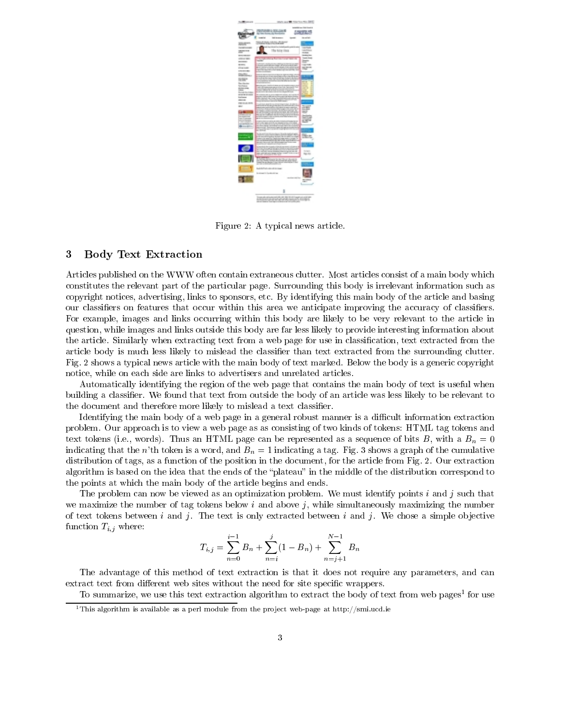

Figure 2: A typical news article.

## <sup>3</sup> Body Text Extraction

Articles published on the WWW often contain extraneous clutter. Most articles consist of a main body which constitutes the relevant part of the particular page. Surrounding this body is irrelevant information such as copyright notices, advertising, links to sponsors, etc. By identifying this main body of the article and basing our classiers on features that occur within this area we anticipate improving the accuracy of classiers. For example, images and links occurring within this body are likely to be very relevant to the article in question, while images and links outside this body are far less likely to provide interesting information about the article. Similarly when extracting text from a web page for use in classication, text extracted from the article body is much less likely to mislead the classifier than text extracted from the surrounding clutter. Fig. 2 shows a typical news article with the main body of text marked. Below the body is a generic copyright notice, while on each side are links to advertisers and unrelated articles.

Automatically identifying the region of the web page that contains the main body of text is useful when building a classifier. We found that text from outside the body of an article was less likely to be relevant to the document and therefore more likely to mislead a text classifier.

Identifying the main body of a web page in a general robust manner is a difficult information extraction problem. Our approach is to view a web page as as consisting of two kinds of tokens: HTML tag tokens and text tokens (i.e., words). Thus an HTML page can be represented as a sequence of bits B, with a  $B_n = 0$ indicating that the n'th token is a word, and  $B_n = 1$  indicating a tag. Fig. 3 shows a graph of the cumulative distribution of tags, as a function of the position in the document, for the article from Fig. 2. Our extraction algorithm is based on the idea that the ends of the "plateau" in the middle of the distribution correspond to the points at which the main body of the article begins and ends.

The problem can now be viewed as an optimization problem. We must identify points  $i$  and  $j$  such that we maximize the number of tag tokens below i and above j, while simultaneously maximizing the number of text tokens between  $i$  and  $j$ . The text is only extracted between  $i$  and  $j$ . We chose a simple objective function  $T_{i,j}$  where:

$$
T_{i,j} = \sum_{n=0}^{i-1} B_n + \sum_{n=i}^{j} (1 - B_n) + \sum_{n=j+1}^{N-1} B_n
$$

The advantage of this method of text extraction is that it does not require any parameters, and can extract text from different web sites without the need for site specific wrappers.

To summarize, we use this text extraction algorithm to extract the body of text from web pages<sup>1</sup> for use

 $^1$ This algorithm is available as a perl module from the project web-page at http://smi.ucd.ie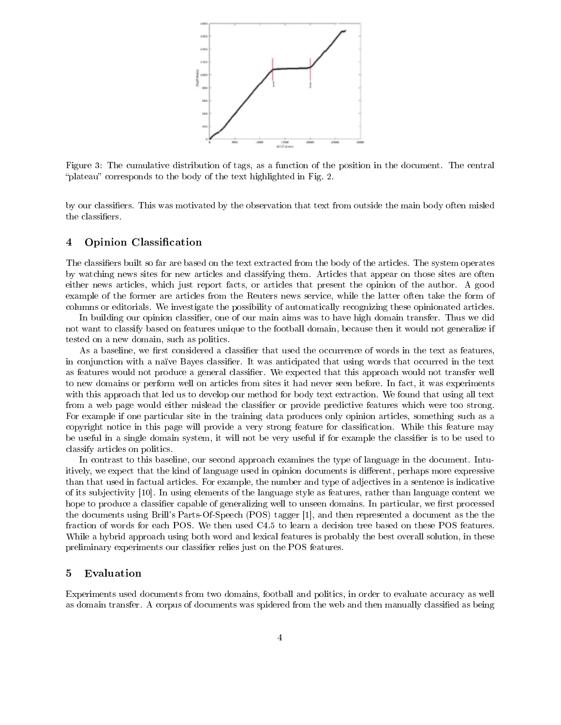

Figure 3: The cumulative distribution of tags, as a function of the position in the document. The central "plateau" corresponds to the body of the text highlighted in Fig. 2.

by our classifiers. This was motivated by the observation that text from outside the main body often misled the classifiers.

#### **Opinion Classification**  $\overline{4}$

The classifiers built so far are based on the text extracted from the body of the articles. The system operates by watching news sites for new articles and classifying them. Articles that appear on those sites are often either news articles, which just report facts, or articles that present the opinion of the author. A good example of the former are articles from the Reuters news service, while the latter often take the form of columns or editorials. We investigate the possibility of automatically recognizing these opinionated articles.

In building our opinion classifier, one of our main aims was to have high domain transfer. Thus we did not want to classify based on features unique to the football domain, because then it would not generalize if tested on a new domain, such as politics.

As a baseline, we first considered a classifier that used the occurrence of words in the text as features, in conjunction with a naïve Bayes classifier. It was anticipated that using words that occurred in the text as features would not produce a general classifier. We expected that this approach would not transfer well to new domains or perform well on articles from sites it had never seen before. In fact, it was experiments with this approach that led us to develop our method for body text extraction. We found that using all text from a web page would either mislead the classifier or provide predictive features which were too strong. For example if one particular site in the training data produces only opinion articles, something such as a copyright notice in this page will provide a very strong feature for classification. While this feature may be useful in a single domain system, it will not be very useful if for example the classifier is to be used to classify articles on politics.

In contrast to this baseline, our second approach examines the type of language in the document. Intuitively, we expect that the kind of language used in opinion documents is different, perhaps more expressive than that used in factual articles. For example, the number and type of adjectives in a sentence is indicative of its sub jectivity [10]. In using elements of the language style as features, rather than language content we hope to produce a classifier capable of generalizing well to unseen domains. In particular, we first processed the documents using Brill's Parts-Of-Speech (POS) tagger [1], and then represented a document as the the fraction of words for each POS. We then used C4.5 to learn a decision tree based on these POS features. While a hybrid approach using both word and lexical features is probably the best overall solution, in these preliminary experiments our classifier relies just on the POS features.

### <sup>5</sup> Evaluation

Experiments used documents from two domains, football and politics, in order to evaluate accuracy as well as domain transfer. A corpus of documents was spidered from the web and then manually classified as being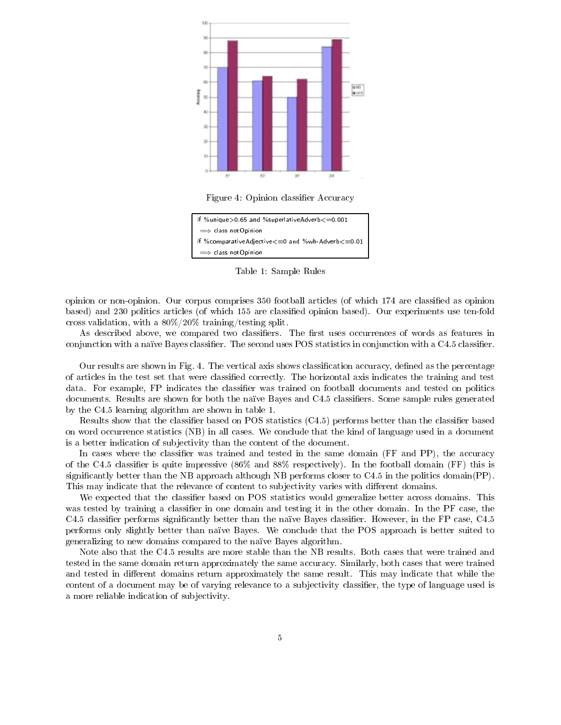

Figure 4: Opinion classifier Accuracy



Table 1: Sample Rules

opinion or non-opinion. Our corpus comprises 350 football articles (of which 174 are classied as opinion based) and 230 politics articles (of which 155 are classied opinion based). Our experiments use ten-fold cross validation, with a 80%/20% training/testing split.

As described above, we compared two classifiers. The first uses occurrences of words as features in conjunction with a naïve Bayes classifier. The second uses POS statistics in conjunction with a C4.5 classifier.

Our results are shown in Fig. 4. The vertical axis shows classification accuracy, defined as the percentage of articles in the test set that were classied correctly. The horizontal axis indicates the training and test data. For example, FP indicates the classifier was trained on football documents and tested on politics documents. Results are shown for both the naïve Bayes and C4.5 classifiers. Some sample rules generated by the C4.5 learning algorithm are shown in table 1.

Results show that the classifier based on POS statistics  $(C4.5)$  performs better than the classifier based on word occurrence statistics (NB) in all cases. We conclude that the kind of language used in a document is a better indication of sub jectivity than the content of the document.

In cases where the classifier was trained and tested in the same domain (FF and PP), the accuracy of the C4.5 classifier is quite impressive  $(86\%$  and  $88\%$  respectively). In the football domain (FF) this is significantly better than the NB approach although NB performs closer to  $C4.5$  in the politics domain(PP). This may indicate that the relevance of content to subjectivity varies with different domains.

We expected that the classifier based on POS statistics would generalize better across domains. This was tested by training a classifier in one domain and testing it in the other domain. In the PF case, the C4.5 classifier performs significantly better than the naïve Bayes classifier. However, in the FP case, C4.5 performs only slightly better than naïve Bayes. We conclude that the POS approach is better suited to generalizing to new domains compared to the naïve Bayes algorithm.

Note also that the C4.5 results are more stable than the NB results. Both cases that were trained and tested in the same domain return approximately the same accuracy. Similarly, both cases that were trained and tested in different domains return approximately the same result. This may indicate that while the content of a document may be of varying relevance to a subjectivity classifier, the type of language used is a more reliable indication of sub jectivity.